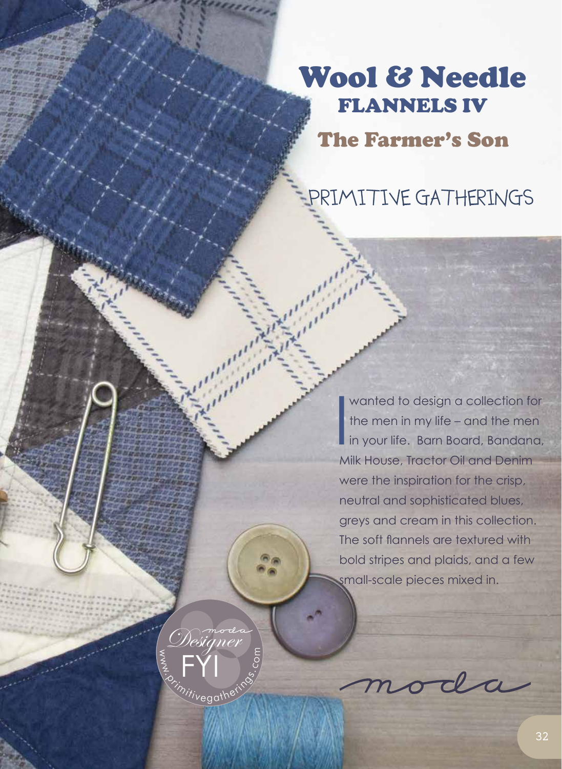## Wool & Needle FLANNELS IV

The Farmer's Son

PRIMITIVE GATHERINGS

I wanted to design a collection for the men in my life – and the men in your life. Barn Board, Bandana, Milk House, Tractor Oil and Denim were the inspiration for the crisp, neutral and sophisticated blues, greys and cream in this collection. The soft flannels are textured with bold stripes and plaids, and a few small-scale pieces mixed in.

moda

 $\leq$  $\frac{2}{3}$ 

hivegathering

Designer

FYI

o

 $\sim a$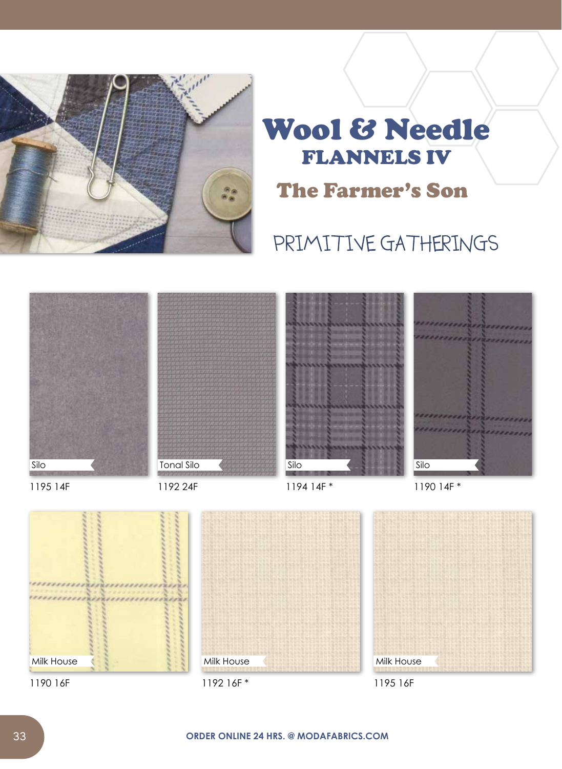

## Wool & Needle FLANNELS IV The Farmer's Son

## PRIMITIVE GATHERINGS

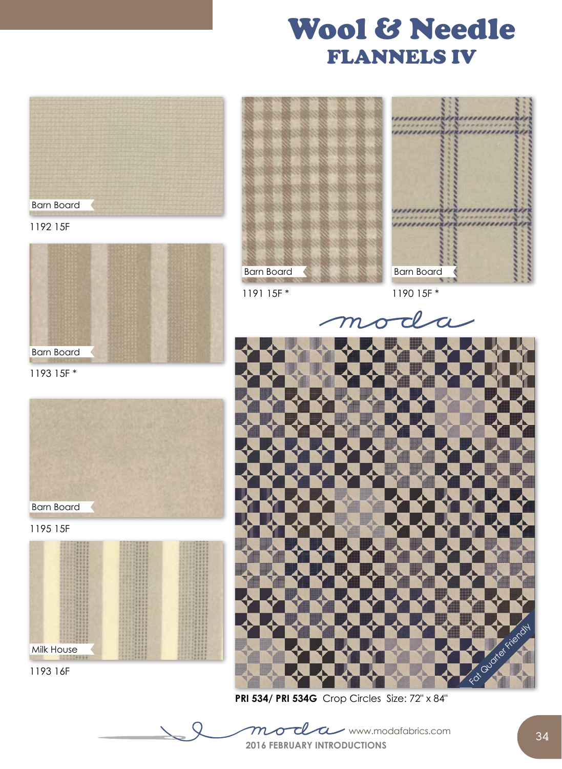## Wool & Needle FLANNELS IV





1193 15F \*



1195 15F



1193 16F





1191 15F \*

1190 15F \*

 $\overline{\mathcal{C}}$ 



**PRI 534/ PRI 534G** Crop Circles Size: 72" x 84"

**2016 FEBRUARY INTRODUCTIONS**  $mod$ d $\alpha$  www.modafabrics.com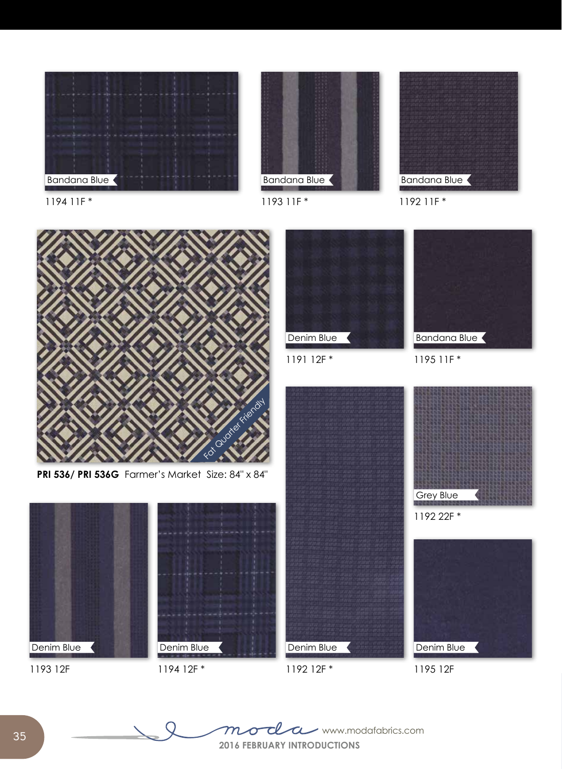









1192 11F \*





1191 12F \*

Bandana Blue







**35**